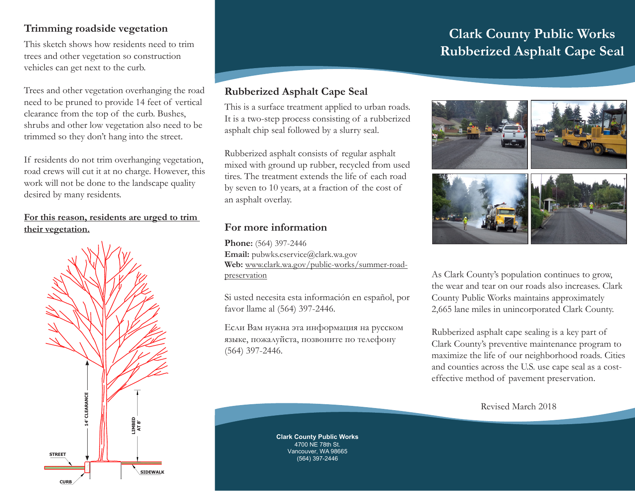# **Clark County Public Works Rubberized Asphalt Cape Seal**

# **Trimming roadside vegetation**

This sketch shows how residents need to trim trees and other vegetation so construction vehicles can get next to the curb.

Trees and other vegetation overhanging the road need to be pruned to provide 14 feet of vertical clearance from the top of the curb. Bushes, shrubs and other low vegetation also need to be trimmed so they don't hang into the street.

If residents do not trim overhanging vegetation, road crews will cut it at no charge. However, this work will not be done to the landscape quality desired by many residents.

#### **For this reason, residents are urged to trim their vegetation.**



# **Rubberized Asphalt Cape Seal**

This is a surface treatment applied to urban roads. It is a two-step process consisting of a rubberized asphalt chip seal followed by a slurry seal.

Rubberized asphalt consists of regular asphalt mixed with ground up rubber, recycled from used tires. The treatment extends the life of each road by seven to 10 years, at a fraction of the cost of an asphalt overlay.

# **For more information**

**Phone:** (564) 397-2446 Email: pubwks.cservice@clark.wa.gov **Web:** www.clark.wa.gov/public-works/summer-roadpreservation

Si usted necesita esta información en español, por favor llame al (564) 397-2446.

Если Вам нужна эта информация на русском языке, пожалуйста, позвоните по телефону (564) 397-2446.



As Clark County's population continues to grow, the wear and tear on our roads also increases. Clark County Public Works maintains approximately 2,665 lane miles in unincorporated Clark County.

Rubberized asphalt cape sealing is a key part of Clark County's preventive maintenance program to maximize the life of our neighborhood roads. Cities and counties across the U.S. use cape seal as a costeffective method of pavement preservation.

Revised March 2018

**Clark County Public Works** 4700 NE 78th St. Vancouver, WA 98665 (564) 397-2446